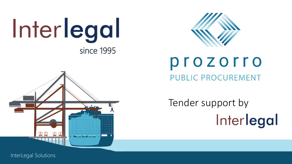





### prozorro PUBLIC PROCUREMENT

Tender support byInterlegal

InterLegal Solutions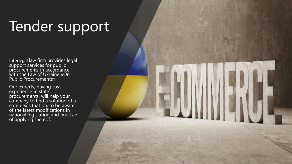# Tender support

Interlegal law firm provides legal support services for public procurements in accordance with the Law of Ukraine «On Public Procurements».

Our experts, having vast experience in state procurements, will help your company to find a solution of a complex situation, to be aware of the latest modifications in national legislation and practice of applying thereof.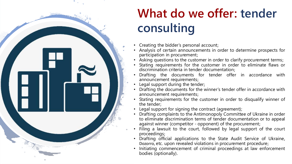

## **What do we offer: tender consulting**

- Creating the bidder's personal account;
- Analysis of certain announcements in order to determine prospects for participation in procurement;
- Asking questions to the customer in order to clarify procurement terms;
- Stating requirements for the customer in order to eliminate flaws or discrimination criteria in tender documentation;
- Drafting the documents for tender offer in accordance with announcement requirements;
- Legal support during the tender;
- Drafting the documents for the winner's tender offer in accordance with announcement requirements;
- Stating requirements for the customer in order to disqualify winner of the tender;
- Legal support for signing the contract (agreement);
- Drafting complaints to the Antimonopoly Committee of Ukraine in order to eliminate discrimination terms of tender documentation or to appeal against winner (competitor - opponent) of the procurement;
- Filing a lawsuit to the court, followed by legal support of the court proceedings;
- Drafting official applications to the State Audit Service of Ukraine, Dozorro, etc. upon revealed violations in procurement procedure;
- Initiating commencement of criminal proceedings at law enforcement bodies (optionally).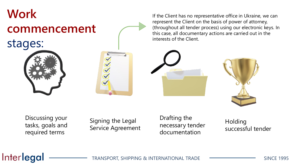# **Work commencement** stages:

If the Client has no representative office in Ukraine, we can represent the Client on the basis of power of attorney, (throughout all tender process) using our electronic keys. In this case, all documentary actions are carried out in the interests of the Client.





Discussing your tasks, goals and required terms

Signing the Legal Service Agreement Drafting the necessary tender documentation

**Holding** successful tender

#### Interlegal

TRANSPORT, SHIPPING & INTERNATIONAL TRADE TRADE SINCE 1995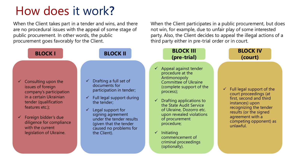## How does it work**?**

When the Client takes part in a tender and wins, and there are no procedural issues with the appeal of some stage of public procurement. In other words, the public procurement goes favorably for the Client.

When the Client participates in a public procurement, but does not win, for example, due to unfair play of some interested party. Also, the Client decides to appeal the illegal actions of a third party either in pre-trial order or in court.

| <b>BLOCK I</b>                                                                                                                                                                                                                                                         | <b>BLOCK II</b>                                                                                                                                                                                                                                                                                           | <b>BLOCK III</b><br>(pre-trial)                                                                                                                                                                                                                                                                                                                                                                      | <b>BLOCK IV</b><br>(court)                                                                                                                                                                                                   |
|------------------------------------------------------------------------------------------------------------------------------------------------------------------------------------------------------------------------------------------------------------------------|-----------------------------------------------------------------------------------------------------------------------------------------------------------------------------------------------------------------------------------------------------------------------------------------------------------|------------------------------------------------------------------------------------------------------------------------------------------------------------------------------------------------------------------------------------------------------------------------------------------------------------------------------------------------------------------------------------------------------|------------------------------------------------------------------------------------------------------------------------------------------------------------------------------------------------------------------------------|
| $\checkmark$ Consulting upon the<br>issues of foreign<br>company's participation<br>in a certain Ukrainian<br>tender (qualification<br>features etc.);<br>$\checkmark$ Foreign bidder's due<br>diligence for compliance<br>with the current<br>legislation of Ukraine. | Drafting a full set of<br>$\checkmark$<br>documents for<br>participation in tender;<br>Full legal support during<br>$\checkmark$<br>the tender;<br>Legal support for<br>$\checkmark$<br>signing agreement<br>under the tender results<br>(given that the tender<br>caused no problems for<br>the Client). | $\checkmark$ Appeal against tender<br>procedure at the<br>Antimonopoly<br><b>Committee of Ukraine</b><br>(complete support of the<br>process);<br>$\checkmark$ Drafting applications to<br>the State Audit Service<br>of Ukraine, Dozorro etc.<br>upon revealed violations<br>of procurement<br>procedure;<br>Initiating<br>$\checkmark$<br>commencement of<br>criminal proceedings<br>(optionally). | $\checkmark$ Full legal support of the<br>court proceedings (at<br>first, second and third<br>instances) upon<br>recognizing the tender<br>results (or the signed<br>agreement with a<br>competing opponent) as<br>unlawful. |